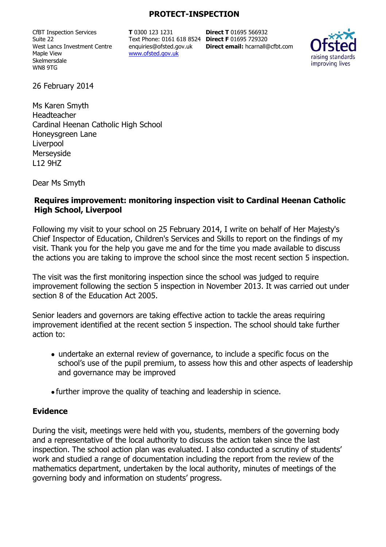#### **PROTECT-INSPECTION**

CfBT Inspection Services Suite 22 West Lancs Investment Centre Maple View Skelmersdale WN8 9TG

**T** 0300 123 1231 Text Phone: 0161 618 8524 **Direct F** 01695 729320 enquiries@ofsted.gov.uk www.ofsted.gov.uk

**Direct T** 01695 566932 **Direct email:** hcarnall@cfbt.com



26 February 2014

Ms Karen Smyth Headteacher Cardinal Heenan Catholic High School Honeysgreen Lane Liverpool Merseyside L12 9HZ

Dear Ms Smyth

#### **Requires improvement: monitoring inspection visit to Cardinal Heenan Catholic High School, Liverpool**

Following my visit to your school on 25 February 2014, I write on behalf of Her Majesty's Chief Inspector of Education, Children's Services and Skills to report on the findings of my visit. Thank you for the help you gave me and for the time you made available to discuss the actions you are taking to improve the school since the most recent section 5 inspection.

The visit was the first monitoring inspection since the school was judged to require improvement following the section 5 inspection in November 2013. It was carried out under section 8 of the Education Act 2005.

Senior leaders and governors are taking effective action to tackle the areas requiring improvement identified at the recent section 5 inspection. The school should take further action to:

- undertake an external review of governance, to include a specific focus on the school's use of the pupil premium, to assess how this and other aspects of leadership and governance may be improved
- further improve the quality of teaching and leadership in science.

#### **Evidence**

During the visit, meetings were held with you, students, members of the governing body and a representative of the local authority to discuss the action taken since the last inspection. The school action plan was evaluated. I also conducted a scrutiny of students' work and studied a range of documentation including the report from the review of the mathematics department, undertaken by the local authority, minutes of meetings of the governing body and information on students' progress.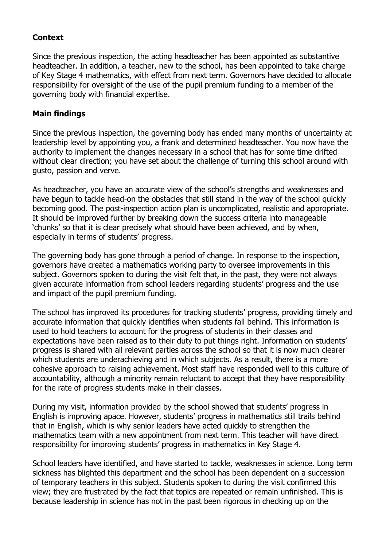# **Context**

Since the previous inspection, the acting headteacher has been appointed as substantive headteacher. In addition, a teacher, new to the school, has been appointed to take charge of Key Stage 4 mathematics, with effect from next term. Governors have decided to allocate responsibility for oversight of the use of the pupil premium funding to a member of the governing body with financial expertise.

# **Main findings**

Since the previous inspection, the governing body has ended many months of uncertainty at leadership level by appointing you, a frank and determined headteacher. You now have the authority to implement the changes necessary in a school that has for some time drifted without clear direction; you have set about the challenge of turning this school around with gusto, passion and verve.

As headteacher, you have an accurate view of the school's strengths and weaknesses and have begun to tackle head-on the obstacles that still stand in the way of the school quickly becoming good. The post-inspection action plan is uncomplicated, realistic and appropriate. It should be improved further by breaking down the success criteria into manageable 'chunks' so that it is clear precisely what should have been achieved, and by when, especially in terms of students' progress.

The governing body has gone through a period of change. In response to the inspection, governors have created a mathematics working party to oversee improvements in this subject. Governors spoken to during the visit felt that, in the past, they were not always given accurate information from school leaders regarding students' progress and the use and impact of the pupil premium funding.

The school has improved its procedures for tracking students' progress, providing timely and accurate information that quickly identifies when students fall behind. This information is used to hold teachers to account for the progress of students in their classes and expectations have been raised as to their duty to put things right. Information on students' progress is shared with all relevant parties across the school so that it is now much clearer which students are underachieving and in which subjects. As a result, there is a more cohesive approach to raising achievement. Most staff have responded well to this culture of accountability, although a minority remain reluctant to accept that they have responsibility for the rate of progress students make in their classes.

During my visit, information provided by the school showed that students' progress in English is improving apace. However, students' progress in mathematics still trails behind that in English, which is why senior leaders have acted quickly to strengthen the mathematics team with a new appointment from next term. This teacher will have direct responsibility for improving students' progress in mathematics in Key Stage 4.

School leaders have identified, and have started to tackle, weaknesses in science. Long term sickness has blighted this department and the school has been dependent on a succession of temporary teachers in this subject. Students spoken to during the visit confirmed this view; they are frustrated by the fact that topics are repeated or remain unfinished. This is because leadership in science has not in the past been rigorous in checking up on the